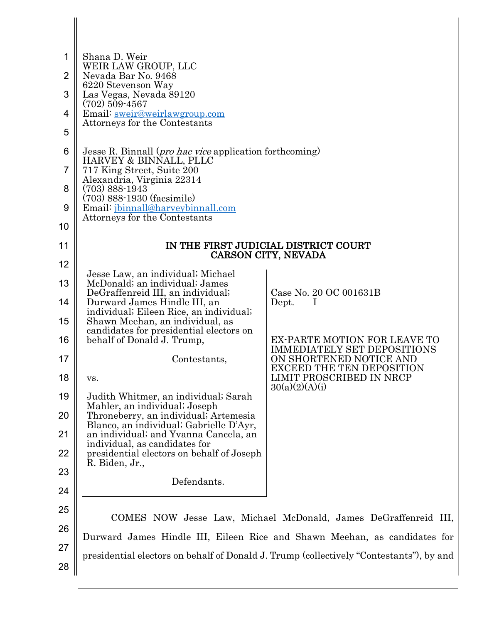| 1              | Shana D. Weir                                                                                      |                                                                                         |  |
|----------------|----------------------------------------------------------------------------------------------------|-----------------------------------------------------------------------------------------|--|
| $\overline{2}$ | WEIR LAW GROUP, LLC<br>Nevada Bar No. 9468                                                         |                                                                                         |  |
| 3              | 6220 Stevenson Way<br>Las Vegas, Nevada 89120                                                      |                                                                                         |  |
| $\overline{4}$ | $(702)$ 509-4567<br>Email: sweir@weirlawgroup.com                                                  |                                                                                         |  |
| 5              | Attorneys for the Contestants                                                                      |                                                                                         |  |
| 6              | Jesse R. Binnall ( <i>pro hac vice</i> application forthcoming)                                    |                                                                                         |  |
| $\overline{7}$ | HARVEY & BINNALL, PLLC<br>717 King Street, Suite 200                                               |                                                                                         |  |
| 8              | Alexandria, Virginia 22314<br>$(703)$ 888-1943                                                     |                                                                                         |  |
| 9              | $(703)$ 888-1930 (facsimile)<br>Email: jbinnall@harveybinnall.com<br>Attorneys for the Contestants |                                                                                         |  |
| 10             |                                                                                                    |                                                                                         |  |
| 11             | IN THE FIRST JUDICIAL DISTRICT COURT<br>CARSON CITY, NEVADA                                        |                                                                                         |  |
| 12             | Jesse Law, an individual; Michael                                                                  |                                                                                         |  |
| 13             | McDonald; an individual; James<br>DeGraffenreid III, an individual;                                | Case No. 20 OC 001631B                                                                  |  |
| 14             | Durward James Hindle III, an<br>individual; Eileen Rice, an individual;                            | Dept.                                                                                   |  |
| 15             | Shawn Meehan, an individual, as<br>candidates for presidential electors on                         |                                                                                         |  |
| 16             | behalf of Donald J. Trump,                                                                         | EX-PARTE MOTION FOR LEAVE TO<br><b>IMMEDIATELY SET DEPOSITIONS</b>                      |  |
| 17             | Contestants,                                                                                       | ON SHORTENED NOTICE AND<br><b>EXCEED THE TEN DEPOSITION</b>                             |  |
| 18             | VS.                                                                                                | LIMIT PROSCRIBED IN NRCP<br>30(a)(2)(A)(i)                                              |  |
| 19             | Judith Whitmer, an individual; Sarah<br>Mahler, an individual; Joseph                              |                                                                                         |  |
| 20             | Throneberry, an individual; Artemesia<br>Blanco, an individual; Gabrielle D'Ayr,                   |                                                                                         |  |
| 21             | an individual; and Yvanna Cancela, an<br>individual, as candidates for                             |                                                                                         |  |
| 22             | presidential electors on behalf of Joseph<br>R. Biden, Jr.,                                        |                                                                                         |  |
| 23             | Defendants.                                                                                        |                                                                                         |  |
| 24             |                                                                                                    |                                                                                         |  |
| 25             | COMES NOW Jesse Law, Michael McDonald, James DeGraffenreid III,                                    |                                                                                         |  |
| 26             |                                                                                                    | Durward James Hindle III, Eileen Rice and Shawn Meehan, as candidates for               |  |
| 27             |                                                                                                    | presidential electors on behalf of Donald J. Trump (collectively "Contestants"), by and |  |
| 28             |                                                                                                    |                                                                                         |  |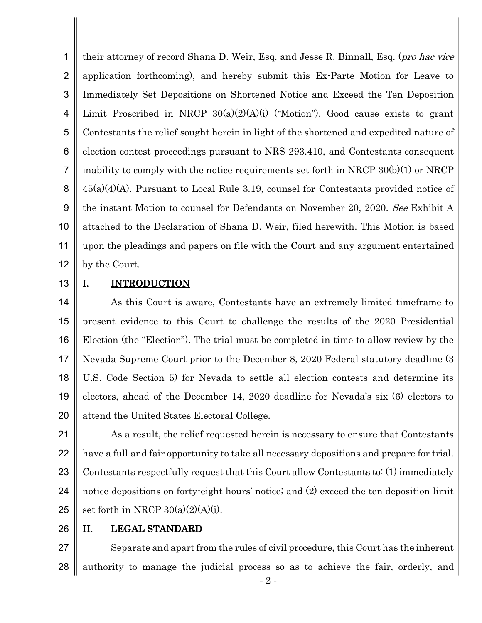1 2 3 4 5 6 7 8 9 10 11 12 their attorney of record Shana D. Weir, Esq. and Jesse R. Binnall, Esq. (pro hac vice application forthcoming), and hereby submit this Ex-Parte Motion for Leave to Immediately Set Depositions on Shortened Notice and Exceed the Ten Deposition Limit Proscribed in NRCP  $30(a)(2)(A)(i)$  ("Motion"). Good cause exists to grant Contestants the relief sought herein in light of the shortened and expedited nature of election contest proceedings pursuant to NRS 293.410, and Contestants consequent inability to comply with the notice requirements set forth in NRCP 30(b)(1) or NRCP 45(a)(4)(A). Pursuant to Local Rule 3.19, counsel for Contestants provided notice of the instant Motion to counsel for Defendants on November 20, 2020. See Exhibit A attached to the Declaration of Shana D. Weir, filed herewith. This Motion is based upon the pleadings and papers on file with the Court and any argument entertained by the Court.

13

## I. **INTRODUCTION**

14 15 16 17 18 19 20 As this Court is aware, Contestants have an extremely limited timeframe to present evidence to this Court to challenge the results of the 2020 Presidential Election (the "Election"). The trial must be completed in time to allow review by the Nevada Supreme Court prior to the December 8, 2020 Federal statutory deadline (3 U.S. Code Section 5) for Nevada to settle all election contests and determine its electors, ahead of the December 14, 2020 deadline for Nevada's six (6) electors to attend the United States Electoral College.

21 22 23 24 25 As a result, the relief requested herein is necessary to ensure that Contestants have a full and fair opportunity to take all necessary depositions and prepare for trial. Contestants respectfully request that this Court allow Contestants to: (1) immediately notice depositions on forty-eight hours' notice; and (2) exceed the ten deposition limit set forth in NRCP  $30(a)(2)(A)(i)$ .

26

## II. LEGAL STANDARD

27 28 Separate and apart from the rules of civil procedure, this Court has the inherent authority to manage the judicial process so as to achieve the fair, orderly, and

- 2 -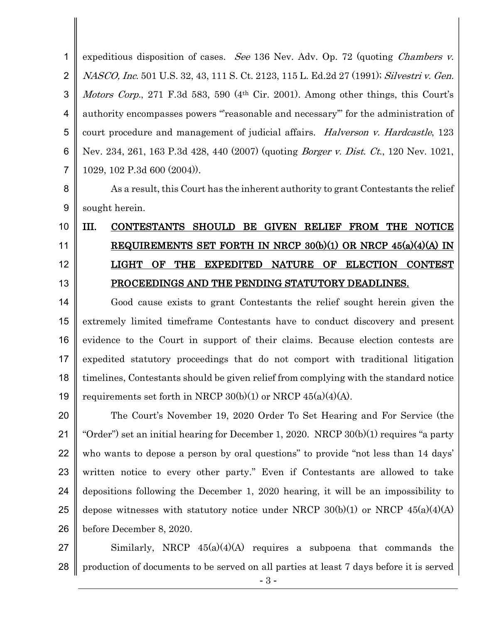1 2 3 4 5 6 7 expeditious disposition of cases. See 136 Nev. Adv. Op. 72 (quoting *Chambers v.* NASCO, Inc. 501 U.S. 32, 43, 111 S. Ct. 2123, 115 L. Ed.2d 27 (1991); Silvestri v. Gen. Motors Corp., 271 F.3d 583, 590 (4<sup>th</sup> Cir. 2001). Among other things, this Court's authority encompasses powers "'reasonable and necessary'" for the administration of court procedure and management of judicial affairs. Halverson v. Hardcastle, 123 Nev. 234, 261, 163 P.3d 428, 440 (2007) (quoting Borger v. Dist. Ct., 120 Nev. 1021, 1029, 102 P.3d 600 (2004)).

8

9

As a result, this Court has the inherent authority to grant Contestants the relief sought herein.

## 10 11 12 13 III. CONTESTANTS SHOULD BE GIVEN RELIEF FROM THE NOTICE REQUIREMENTS SET FORTH IN NRCP 30(b)(1) OR NRCP 45(a)(4)(A) IN LIGHT OF THE EXPEDITED NATURE OF ELECTION CONTEST PROCEEDINGS AND THE PENDING STATUTORY DEADLINES.

14 15 16 17 18 19 Good cause exists to grant Contestants the relief sought herein given the extremely limited timeframe Contestants have to conduct discovery and present evidence to the Court in support of their claims. Because election contests are expedited statutory proceedings that do not comport with traditional litigation timelines, Contestants should be given relief from complying with the standard notice requirements set forth in NRCP  $30(b)(1)$  or NRCP  $45(a)(4)(A)$ .

20 21 22 23 24 25 26 The Court's November 19, 2020 Order To Set Hearing and For Service (the "Order") set an initial hearing for December 1, 2020. NRCP 30(b)(1) requires "a party who wants to depose a person by oral questions" to provide "not less than 14 days" written notice to every other party." Even if Contestants are allowed to take depositions following the December 1, 2020 hearing, it will be an impossibility to depose witnesses with statutory notice under NRCP  $30(b)(1)$  or NRCP  $45(a)(4)(A)$ before December 8, 2020.

27 28 Similarly, NRCP  $45(a)(4)(A)$  requires a subpoena that commands the production of documents to be served on all parties at least 7 days before it is served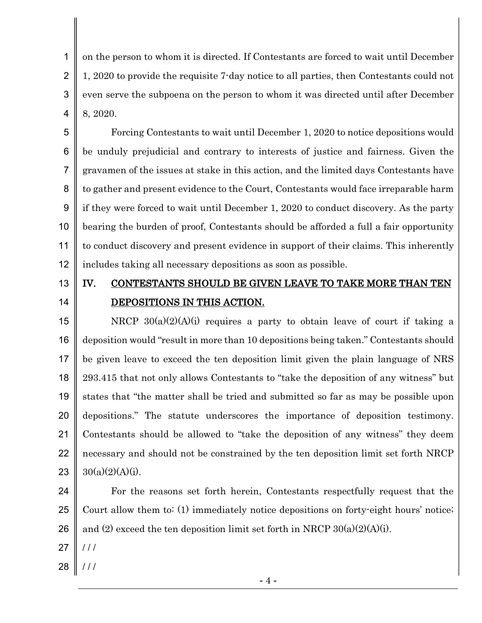1 2 3 4 on the person to whom it is directed. If Contestants are forced to wait until December 1, 2020 to provide the requisite 7-day notice to all parties, then Contestants could not even serve the subpoena on the person to whom it was directed until after December 8, 2020.

5 6 7 8 9 10 11 12 Forcing Contestants to wait until December 1, 2020 to notice depositions would be unduly prejudicial and contrary to interests of justice and fairness. Given the gravamen of the issues at stake in this action, and the limited days Contestants have to gather and present evidence to the Court, Contestants would face irreparable harm if they were forced to wait until December 1, 2020 to conduct discovery. As the party bearing the burden of proof, Contestants should be afforded a full a fair opportunity to conduct discovery and present evidence in support of their claims. This inherently includes taking all necessary depositions as soon as possible.

13 14

## IV. CONTESTANTS SHOULD BE GIVEN LEAVE TO TAKE MORE THAN TEN DEPOSITIONS IN THIS ACTION.

15 16 17 18 19 20 21 22 23 NRCP  $30(a)(2)(A)(i)$  requires a party to obtain leave of court if taking a deposition would "result in more than 10 depositions being taken." Contestants should be given leave to exceed the ten deposition limit given the plain language of NRS 293.415 that not only allows Contestants to "take the deposition of any witness" but states that "the matter shall be tried and submitted so far as may be possible upon depositions." The statute underscores the importance of deposition testimony. Contestants should be allowed to "take the deposition of any witness" they deem necessary and should not be constrained by the ten deposition limit set forth NRCP  $30(a)(2)(A)(i)$ .

24 25 26 For the reasons set forth herein, Contestants respectfully request that the Court allow them to: (1) immediately notice depositions on forty-eight hours' notice; and (2) exceed the ten deposition limit set forth in NRCP  $30(a)(2)(A)(i)$ .

- 27  $/ / /$
- 28 / / /

- 4 -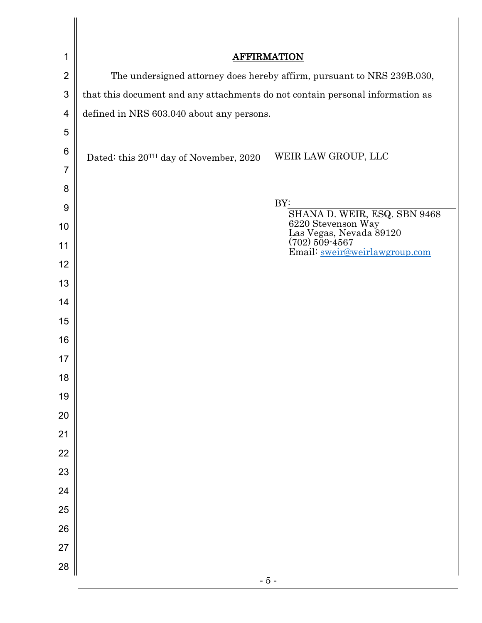| 1              |                                                                               | <b>AFFIRMATION</b>                                              |
|----------------|-------------------------------------------------------------------------------|-----------------------------------------------------------------|
| $\overline{2}$ | The undersigned attorney does hereby affirm, pursuant to NRS 239B.030,        |                                                                 |
| 3              | that this document and any attachments do not contain personal information as |                                                                 |
| 4              | defined in NRS 603.040 about any persons.                                     |                                                                 |
| 5              |                                                                               |                                                                 |
| 6              | Dated: this 20 <sup>TH</sup> day of November, 2020                            | WEIR LAW GROUP, LLC                                             |
| $\overline{7}$ |                                                                               |                                                                 |
| 8              |                                                                               |                                                                 |
| 9              |                                                                               | BY:<br>SHANA D. WEIR, ESQ. SBN 9468                             |
| 10             |                                                                               | 6220 Stevenson Way<br>Las Vegas, Nevada 89120<br>(702) 509-4567 |
| 11             |                                                                               | Email: sweir@weirlawgroup.com                                   |
| 12             |                                                                               |                                                                 |
| 13             |                                                                               |                                                                 |
| 14             |                                                                               |                                                                 |
| 15             |                                                                               |                                                                 |
| 16             |                                                                               |                                                                 |
| 17             |                                                                               |                                                                 |
| 18             |                                                                               |                                                                 |
| 19             |                                                                               |                                                                 |
| 20             |                                                                               |                                                                 |
| 21             |                                                                               |                                                                 |
| 22             |                                                                               |                                                                 |
| 23             |                                                                               |                                                                 |
| 24             |                                                                               |                                                                 |
| 25             |                                                                               |                                                                 |
| 26             |                                                                               |                                                                 |
| 27             |                                                                               |                                                                 |
| 28             |                                                                               | $-5-$                                                           |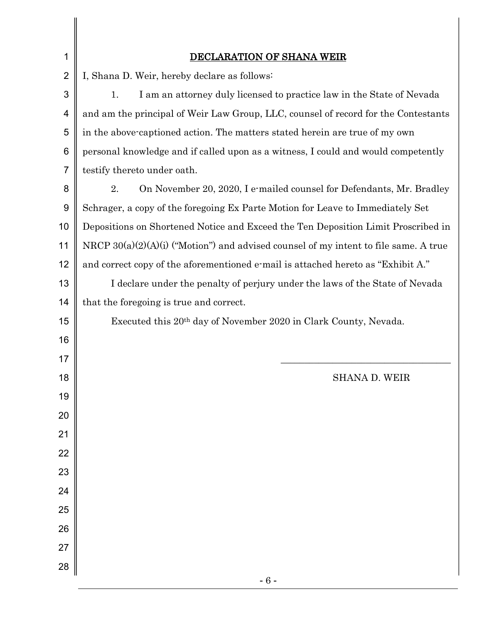| 1              | <b>DECLARATION OF SHANA WEIR</b>                                                     |  |  |
|----------------|--------------------------------------------------------------------------------------|--|--|
| $\overline{2}$ | I, Shana D. Weir, hereby declare as follows:                                         |  |  |
| 3              | I am an attorney duly licensed to practice law in the State of Nevada<br>1.          |  |  |
| 4              | and am the principal of Weir Law Group, LLC, counsel of record for the Contestants   |  |  |
| 5              | in the above-captioned action. The matters stated herein are true of my own          |  |  |
| 6              | personal knowledge and if called upon as a witness, I could and would competently    |  |  |
| $\overline{7}$ | testify thereto under oath.                                                          |  |  |
| 8              | On November 20, 2020, I e-mailed counsel for Defendants, Mr. Bradley<br>2.           |  |  |
| 9              | Schrager, a copy of the foregoing Ex Parte Motion for Leave to Immediately Set       |  |  |
| 10             | Depositions on Shortened Notice and Exceed the Ten Deposition Limit Proscribed in    |  |  |
| 11             | NRCP 30(a)(2)(A)(i) ("Motion") and advised counsel of my intent to file same. A true |  |  |
| 12             | and correct copy of the aforementioned e-mail is attached hereto as "Exhibit A."     |  |  |
| 13             | I declare under the penalty of perjury under the laws of the State of Nevada         |  |  |
| 14             | that the foregoing is true and correct.                                              |  |  |
| 15             | Executed this 20 <sup>th</sup> day of November 2020 in Clark County, Nevada.         |  |  |
| 16             |                                                                                      |  |  |
| 17             |                                                                                      |  |  |
| 18             | SHANA D. WEIR                                                                        |  |  |
| 19             |                                                                                      |  |  |
| 20             |                                                                                      |  |  |
| 21             |                                                                                      |  |  |
| 22             |                                                                                      |  |  |
| 23             |                                                                                      |  |  |
| 24             |                                                                                      |  |  |
| 25             |                                                                                      |  |  |
| 26             |                                                                                      |  |  |
| 27             |                                                                                      |  |  |
| 28             |                                                                                      |  |  |
|                | $-6-$                                                                                |  |  |